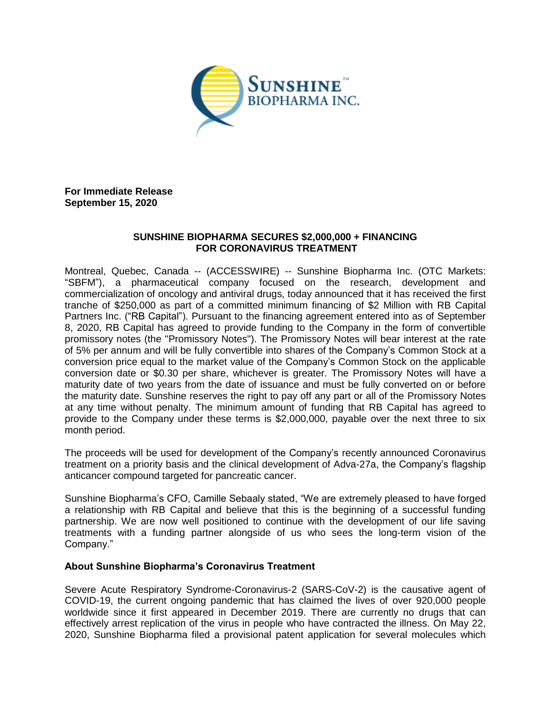

**For Immediate Release September 15, 2020**

## **SUNSHINE BIOPHARMA SECURES \$2,000,000 + FINANCING FOR CORONAVIRUS TREATMENT**

Montreal, Quebec, Canada -- (ACCESSWIRE) -- Sunshine Biopharma Inc. (OTC Markets: "SBFM"), a pharmaceutical company focused on the research, development and commercialization of oncology and antiviral drugs, today announced that it has received the first tranche of \$250,000 as part of a committed minimum financing of \$2 Million with RB Capital Partners Inc. ("RB Capital"). Pursuant to the financing agreement entered into as of September 8, 2020, RB Capital has agreed to provide funding to the Company in the form of convertible promissory notes (the "Promissory Notes"). The Promissory Notes will bear interest at the rate of 5% per annum and will be fully convertible into shares of the Company's Common Stock at a conversion price equal to the market value of the Company's Common Stock on the applicable conversion date or \$0.30 per share, whichever is greater. The Promissory Notes will have a maturity date of two years from the date of issuance and must be fully converted on or before the maturity date. Sunshine reserves the right to pay off any part or all of the Promissory Notes at any time without penalty. The minimum amount of funding that RB Capital has agreed to provide to the Company under these terms is \$2,000,000, payable over the next three to six month period.

The proceeds will be used for development of the Company's recently announced Coronavirus treatment on a priority basis and the clinical development of Adva-27a, the Company's flagship anticancer compound targeted for pancreatic cancer.

Sunshine Biopharma's CFO, Camille Sebaaly stated, "We are extremely pleased to have forged a relationship with RB Capital and believe that this is the beginning of a successful funding partnership. We are now well positioned to continue with the development of our life saving treatments with a funding partner alongside of us who sees the long-term vision of the Company."

## **About Sunshine Biopharma's Coronavirus Treatment**

Severe Acute Respiratory Syndrome-Coronavirus-2 (SARS-CoV-2) is the causative agent of COVID-19, the current ongoing pandemic that has claimed the lives of over 920,000 people worldwide since it first appeared in December 2019. There are currently no drugs that can effectively arrest replication of the virus in people who have contracted the illness. On May 22, 2020, Sunshine Biopharma filed a provisional patent application for several molecules which